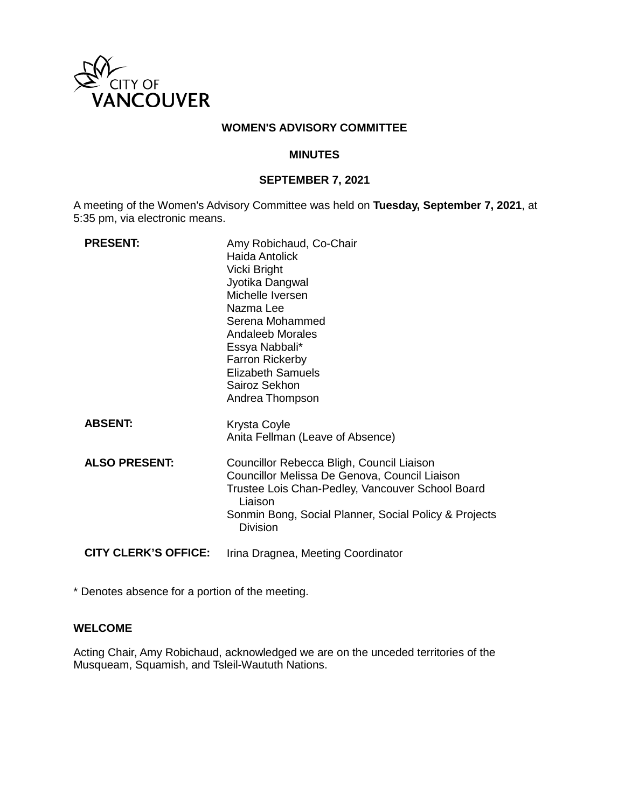

### **WOMEN'S ADVISORY COMMITTEE**

### **MINUTES**

### **SEPTEMBER 7, 2021**

A meeting of the Women's Advisory Committee was held on **Tuesday, September 7, 2021**, at 5:35 pm, via electronic means.

| <b>PRESENT:</b>             | Amy Robichaud, Co-Chair<br>Haida Antolick<br>Vicki Bright<br>Jyotika Dangwal<br>Michelle Iversen<br>Nazma Lee<br>Serena Mohammed<br>Andaleeb Morales<br>Essya Nabbali*<br><b>Farron Rickerby</b><br><b>Elizabeth Samuels</b><br>Sairoz Sekhon<br>Andrea Thompson |
|-----------------------------|------------------------------------------------------------------------------------------------------------------------------------------------------------------------------------------------------------------------------------------------------------------|
| <b>ABSENT:</b>              | Krysta Coyle<br>Anita Fellman (Leave of Absence)                                                                                                                                                                                                                 |
| <b>ALSO PRESENT:</b>        | Councillor Rebecca Bligh, Council Liaison<br>Councillor Melissa De Genova, Council Liaison<br>Trustee Lois Chan-Pedley, Vancouver School Board<br>Liaison<br>Sonmin Bong, Social Planner, Social Policy & Projects<br><b>Division</b>                            |
| <b>CITY CLERK'S OFFICE:</b> | Irina Dragnea, Meeting Coordinator                                                                                                                                                                                                                               |

\* Denotes absence for a portion of the meeting.

### **WELCOME**

Acting Chair, Amy Robichaud, acknowledged we are on the unceded territories of the Musqueam, Squamish, and Tsleil-Waututh Nations.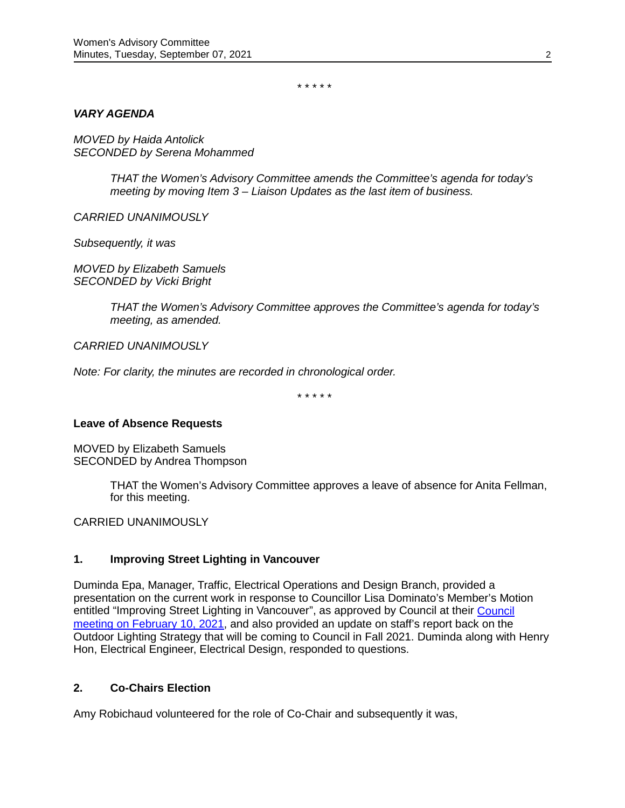\* \* \* \* \*

### *VARY AGENDA*

*MOVED by Haida Antolick SECONDED by Serena Mohammed*

> *THAT the Women's Advisory Committee amends the Committee's agenda for today's meeting by moving Item 3 – Liaison Updates as the last item of business.*

*CARRIED UNANIMOUSLY*

*Subsequently, it was*

*MOVED by Elizabeth Samuels SECONDED by Vicki Bright*

> *THAT the Women's Advisory Committee approves the Committee's agenda for today's meeting, as amended.*

*CARRIED UNANIMOUSLY*

*Note: For clarity, the minutes are recorded in chronological order.*

\* \* \* \* \*

#### **Leave of Absence Requests**

MOVED by Elizabeth Samuels SECONDED by Andrea Thompson

> THAT the Women's Advisory Committee approves a leave of absence for Anita Fellman, for this meeting.

CARRIED UNANIMOUSLY

## **1. Improving Street Lighting in Vancouver**

Duminda Epa, Manager, Traffic, Electrical Operations and Design Branch, provided a presentation on the current work in response to Councillor Lisa Dominato's Member's Motion entitled "Improving Street Lighting in Vancouver", as approved by Council at their [Council](https://council.vancouver.ca/20210210/documents/pspc20210210min.pdf)  [meeting on February 10, 2021,](https://council.vancouver.ca/20210210/documents/pspc20210210min.pdf) and also provided an update on staff's report back on the Outdoor Lighting Strategy that will be coming to Council in Fall 2021. Duminda along with Henry Hon, Electrical Engineer, Electrical Design, responded to questions.

### **2. Co-Chairs Election**

Amy Robichaud volunteered for the role of Co-Chair and subsequently it was,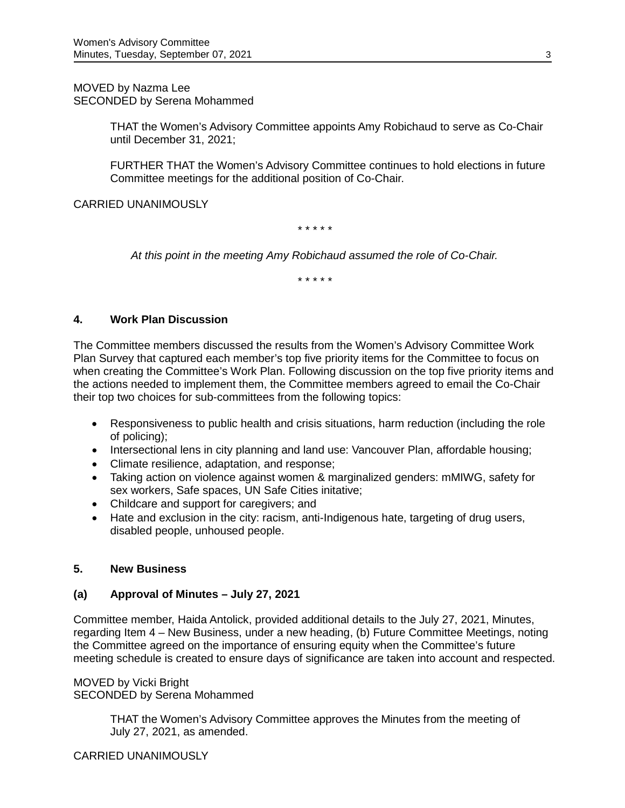MOVED by Nazma Lee SECONDED by Serena Mohammed

> THAT the Women's Advisory Committee appoints Amy Robichaud to serve as Co-Chair until December 31, 2021;

> FURTHER THAT the Women's Advisory Committee continues to hold elections in future Committee meetings for the additional position of Co-Chair.

CARRIED UNANIMOUSLY

*\* \* \* \* \**

*At this point in the meeting Amy Robichaud assumed the role of Co-Chair.*

*\* \* \* \* \**

### **4. Work Plan Discussion**

The Committee members discussed the results from the Women's Advisory Committee Work Plan Survey that captured each member's top five priority items for the Committee to focus on when creating the Committee's Work Plan. Following discussion on the top five priority items and the actions needed to implement them, the Committee members agreed to email the Co-Chair their top two choices for sub-committees from the following topics:

- Responsiveness to public health and crisis situations, harm reduction (including the role of policing);
- Intersectional lens in city planning and land use: Vancouver Plan, affordable housing;
- Climate resilience, adaptation, and response;
- Taking action on violence against women & marginalized genders: mMIWG, safety for sex workers, Safe spaces, UN Safe Cities initative;
- Childcare and support for caregivers; and
- Hate and exclusion in the city: racism, anti-Indigenous hate, targeting of drug users, disabled people, unhoused people.

### **5. New Business**

### **(a) Approval of Minutes – July 27, 2021**

Committee member, Haida Antolick, provided additional details to the July 27, 2021, Minutes, regarding Item 4 – New Business, under a new heading, (b) Future Committee Meetings, noting the Committee agreed on the importance of ensuring equity when the Committee's future meeting schedule is created to ensure days of significance are taken into account and respected.

MOVED by Vicki Bright SECONDED by Serena Mohammed

> THAT the Women's Advisory Committee approves the Minutes from the meeting of July 27, 2021, as amended.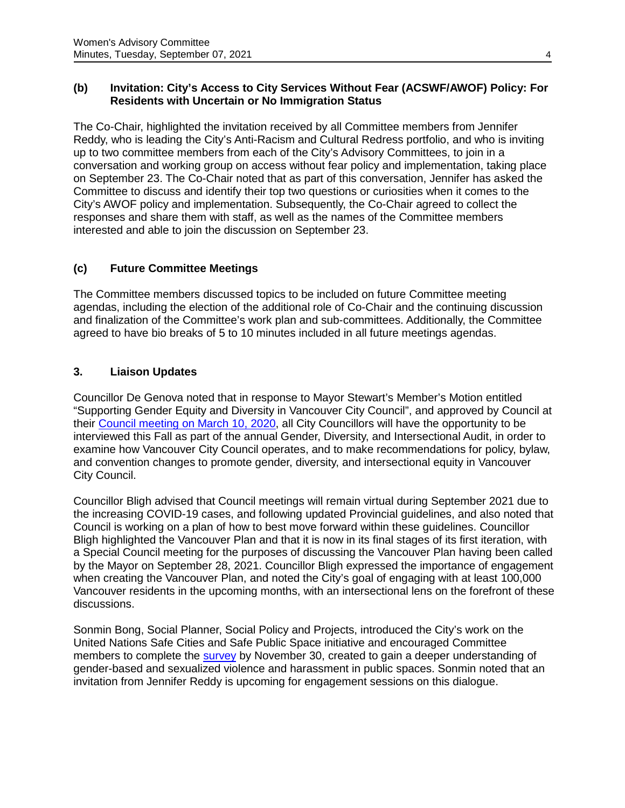## **(b) Invitation: City's Access to City Services Without Fear (ACSWF/AWOF) Policy: For Residents with Uncertain or No Immigration Status**

The Co-Chair, highlighted the invitation received by all Committee members from Jennifer Reddy, who is leading the City's Anti-Racism and Cultural Redress portfolio, and who is inviting up to two committee members from each of the City's Advisory Committees, to join in a conversation and working group on access without fear policy and implementation, taking place on September 23. The Co-Chair noted that as part of this conversation, Jennifer has asked the Committee to discuss and identify their top two questions or curiosities when it comes to the City's AWOF policy and implementation. Subsequently, the Co-Chair agreed to collect the responses and share them with staff, as well as the names of the Committee members interested and able to join the discussion on September 23.

## **(c) Future Committee Meetings**

The Committee members discussed topics to be included on future Committee meeting agendas, including the election of the additional role of Co-Chair and the continuing discussion and finalization of the Committee's work plan and sub-committees. Additionally, the Committee agreed to have bio breaks of 5 to 10 minutes included in all future meetings agendas.

## **3. Liaison Updates**

Councillor De Genova noted that in response to Mayor Stewart's Member's Motion entitled "Supporting Gender Equity and Diversity in Vancouver City Council", and approved by Council at their [Council meeting on March 10, 2020,](https://council.vancouver.ca/20200310/documents/regu20200310min.pdf) all City Councillors will have the opportunity to be interviewed this Fall as part of the annual Gender, Diversity, and Intersectional Audit, in order to examine how Vancouver City Council operates, and to make recommendations for policy, bylaw, and convention changes to promote gender, diversity, and intersectional equity in Vancouver City Council.

Councillor Bligh advised that Council meetings will remain virtual during September 2021 due to the increasing COVID-19 cases, and following updated Provincial guidelines, and also noted that Council is working on a plan of how to best move forward within these guidelines. Councillor Bligh highlighted the Vancouver Plan and that it is now in its final stages of its first iteration, with a Special Council meeting for the purposes of discussing the Vancouver Plan having been called by the Mayor on September 28, 2021. Councillor Bligh expressed the importance of engagement when creating the Vancouver Plan, and noted the City's goal of engaging with at least 100,000 Vancouver residents in the upcoming months, with an intersectional lens on the forefront of these discussions.

Sonmin Bong, Social Planner, Social Policy and Projects, introduced the City's work on the United Nations Safe Cities and Safe Public Space initiative and encouraged Committee members to complete the [survey](https://vancouver.ca/people-programs/un-safe-cities-and-safe-public-spaces-initiative.aspx) by November 30, created to gain a deeper understanding of gender-based and sexualized violence and harassment in public spaces. Sonmin noted that an invitation from Jennifer Reddy is upcoming for engagement sessions on this dialogue.